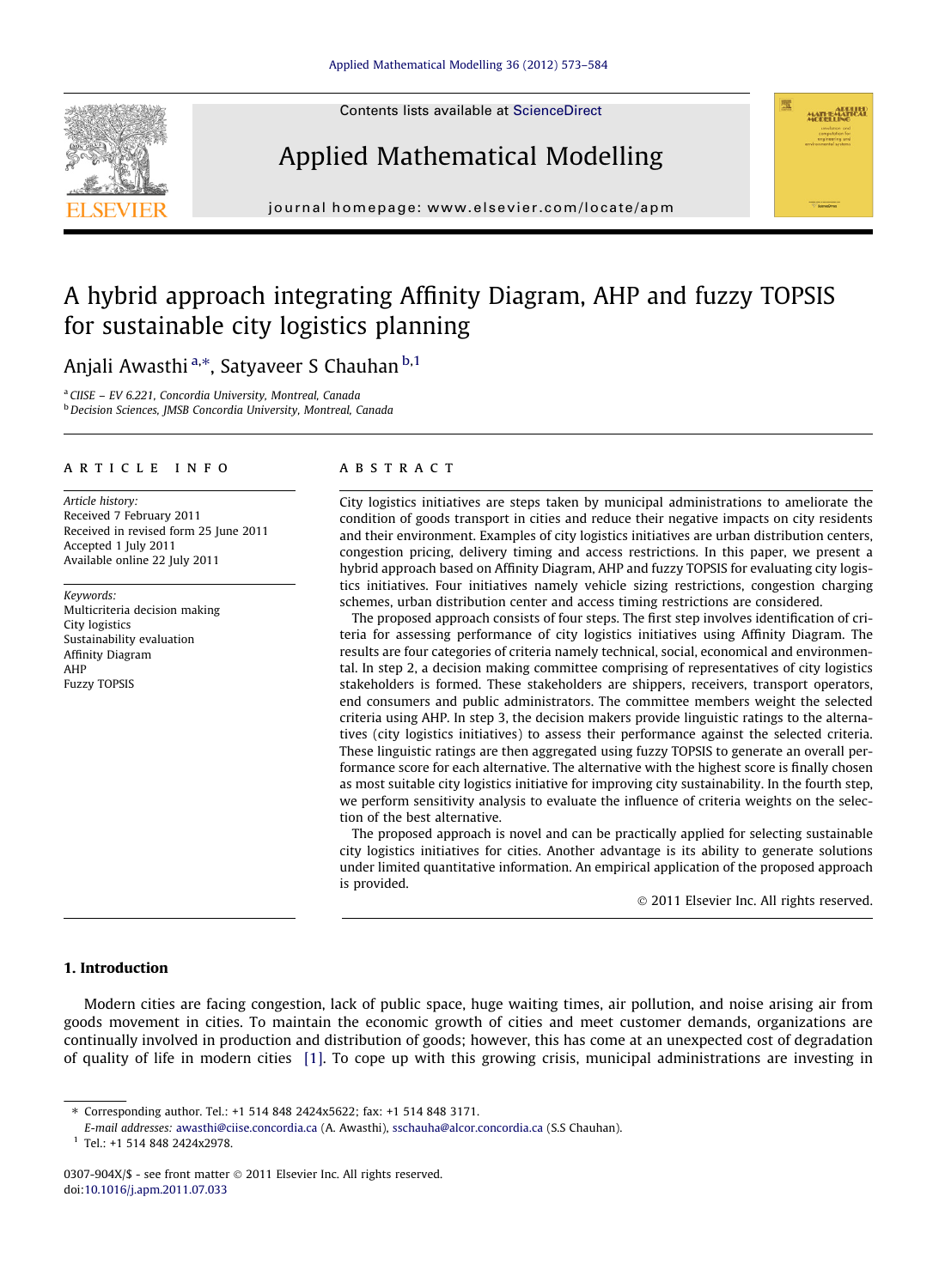Contents lists available at [ScienceDirect](http://www.sciencedirect.com/science/journal/0307904X)







journal homepage: [www.elsevier.com/locate/apm](http://www.elsevier.com/locate/apm)

## A hybrid approach integrating Affinity Diagram, AHP and fuzzy TOPSIS for sustainable city logistics planning

Anjali Awasthi <sup>a,</sup>\*, Satyaveer S Chauhan <sup>b,1</sup>

<sup>a</sup> CIISE – EV 6.221, Concordia University, Montreal, Canada **b** Decision Sciences, JMSB Concordia University, Montreal, Canada

#### article info

Article history: Received 7 February 2011 Received in revised form 25 June 2011 Accepted 1 July 2011 Available online 22 July 2011

Keywords: Multicriteria decision making City logistics Sustainability evaluation Affinity Diagram AHP Fuzzy TOPSIS

#### ABSTRACT

City logistics initiatives are steps taken by municipal administrations to ameliorate the condition of goods transport in cities and reduce their negative impacts on city residents and their environment. Examples of city logistics initiatives are urban distribution centers, congestion pricing, delivery timing and access restrictions. In this paper, we present a hybrid approach based on Affinity Diagram, AHP and fuzzy TOPSIS for evaluating city logistics initiatives. Four initiatives namely vehicle sizing restrictions, congestion charging schemes, urban distribution center and access timing restrictions are considered.

The proposed approach consists of four steps. The first step involves identification of criteria for assessing performance of city logistics initiatives using Affinity Diagram. The results are four categories of criteria namely technical, social, economical and environmental. In step 2, a decision making committee comprising of representatives of city logistics stakeholders is formed. These stakeholders are shippers, receivers, transport operators, end consumers and public administrators. The committee members weight the selected criteria using AHP. In step 3, the decision makers provide linguistic ratings to the alternatives (city logistics initiatives) to assess their performance against the selected criteria. These linguistic ratings are then aggregated using fuzzy TOPSIS to generate an overall performance score for each alternative. The alternative with the highest score is finally chosen as most suitable city logistics initiative for improving city sustainability. In the fourth step, we perform sensitivity analysis to evaluate the influence of criteria weights on the selection of the best alternative.

The proposed approach is novel and can be practically applied for selecting sustainable city logistics initiatives for cities. Another advantage is its ability to generate solutions under limited quantitative information. An empirical application of the proposed approach is provided.

- 2011 Elsevier Inc. All rights reserved.

### 1. Introduction

Modern cities are facing congestion, lack of public space, huge waiting times, air pollution, and noise arising air from goods movement in cities. To maintain the economic growth of cities and meet customer demands, organizations are continually involved in production and distribution of goods; however, this has come at an unexpected cost of degradation of quality of life in modern cities [\[1\]](#page--1-0). To cope up with this growing crisis, municipal administrations are investing in

<sup>⇑</sup> Corresponding author. Tel.: +1 514 848 2424x5622; fax: +1 514 848 3171.

E-mail addresses: [awasthi@ciise.concordia.ca](mailto:awasthi@ciise.concordia.ca) (A. Awasthi), [sschauha@alcor.concordia.ca](mailto:sschauha@alcor.concordia.ca) (S.S Chauhan).

<sup>1</sup> Tel.: +1 514 848 2424x2978.

<sup>0307-904</sup>X/\$ - see front matter © 2011 Elsevier Inc. All rights reserved. doi:[10.1016/j.apm.2011.07.033](http://dx.doi.org/10.1016/j.apm.2011.07.033)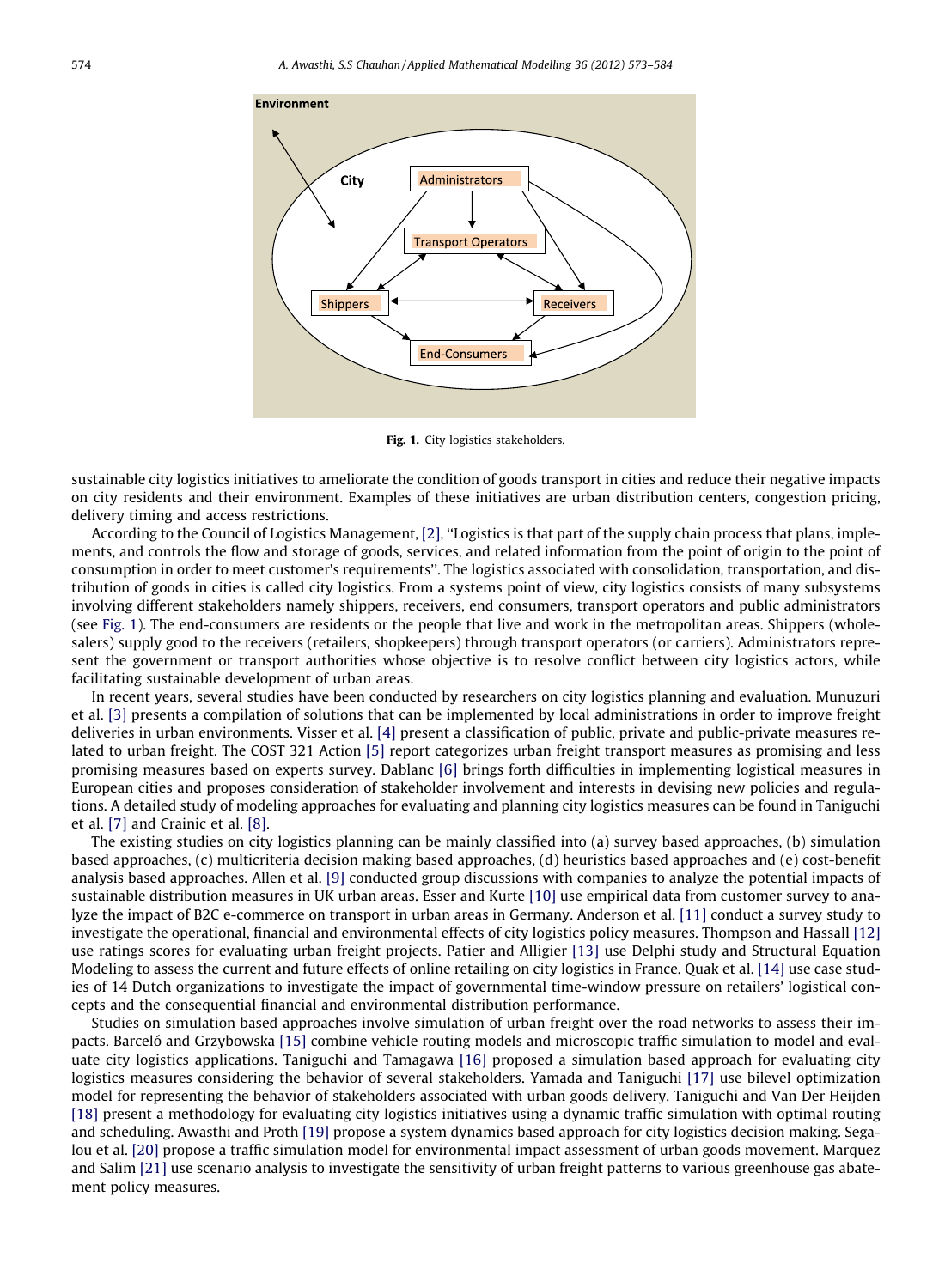

Fig. 1. City logistics stakeholders.

sustainable city logistics initiatives to ameliorate the condition of goods transport in cities and reduce their negative impacts on city residents and their environment. Examples of these initiatives are urban distribution centers, congestion pricing, delivery timing and access restrictions.

According to the Council of Logistics Management, [\[2\],](#page--1-0) ''Logistics is that part of the supply chain process that plans, implements, and controls the flow and storage of goods, services, and related information from the point of origin to the point of consumption in order to meet customer's requirements''. The logistics associated with consolidation, transportation, and distribution of goods in cities is called city logistics. From a systems point of view, city logistics consists of many subsystems involving different stakeholders namely shippers, receivers, end consumers, transport operators and public administrators (see Fig. 1). The end-consumers are residents or the people that live and work in the metropolitan areas. Shippers (wholesalers) supply good to the receivers (retailers, shopkeepers) through transport operators (or carriers). Administrators represent the government or transport authorities whose objective is to resolve conflict between city logistics actors, while facilitating sustainable development of urban areas.

In recent years, several studies have been conducted by researchers on city logistics planning and evaluation. Munuzuri et al. [\[3\]](#page--1-0) presents a compilation of solutions that can be implemented by local administrations in order to improve freight deliveries in urban environments. Visser et al. [\[4\]](#page--1-0) present a classification of public, private and public-private measures related to urban freight. The COST 321 Action [\[5\]](#page--1-0) report categorizes urban freight transport measures as promising and less promising measures based on experts survey. Dablanc [\[6\]](#page--1-0) brings forth difficulties in implementing logistical measures in European cities and proposes consideration of stakeholder involvement and interests in devising new policies and regulations. A detailed study of modeling approaches for evaluating and planning city logistics measures can be found in Taniguchi et al. [\[7\]](#page--1-0) and Crainic et al. [\[8\].](#page--1-0)

The existing studies on city logistics planning can be mainly classified into (a) survey based approaches, (b) simulation based approaches, (c) multicriteria decision making based approaches, (d) heuristics based approaches and (e) cost-benefit analysis based approaches. Allen et al. [\[9\]](#page--1-0) conducted group discussions with companies to analyze the potential impacts of sustainable distribution measures in UK urban areas. Esser and Kurte [\[10\]](#page--1-0) use empirical data from customer survey to analyze the impact of B2C e-commerce on transport in urban areas in Germany. Anderson et al. [\[11\]](#page--1-0) conduct a survey study to investigate the operational, financial and environmental effects of city logistics policy measures. Thompson and Hassall [\[12\]](#page--1-0) use ratings scores for evaluating urban freight projects. Patier and Alligier [\[13\]](#page--1-0) use Delphi study and Structural Equation Modeling to assess the current and future effects of online retailing on city logistics in France. Quak et al. [\[14\]](#page--1-0) use case studies of 14 Dutch organizations to investigate the impact of governmental time-window pressure on retailers' logistical concepts and the consequential financial and environmental distribution performance.

Studies on simulation based approaches involve simulation of urban freight over the road networks to assess their impacts. Barceló and Grzybowska [\[15\]](#page--1-0) combine vehicle routing models and microscopic traffic simulation to model and evaluate city logistics applications. Taniguchi and Tamagawa [\[16\]](#page--1-0) proposed a simulation based approach for evaluating city logistics measures considering the behavior of several stakeholders. Yamada and Taniguchi [\[17\]](#page--1-0) use bilevel optimization model for representing the behavior of stakeholders associated with urban goods delivery. Taniguchi and Van Der Heijden [\[18\]](#page--1-0) present a methodology for evaluating city logistics initiatives using a dynamic traffic simulation with optimal routing and scheduling. Awasthi and Proth [\[19\]](#page--1-0) propose a system dynamics based approach for city logistics decision making. Segalou et al. [\[20\]](#page--1-0) propose a traffic simulation model for environmental impact assessment of urban goods movement. Marquez and Salim [\[21\]](#page--1-0) use scenario analysis to investigate the sensitivity of urban freight patterns to various greenhouse gas abatement policy measures.